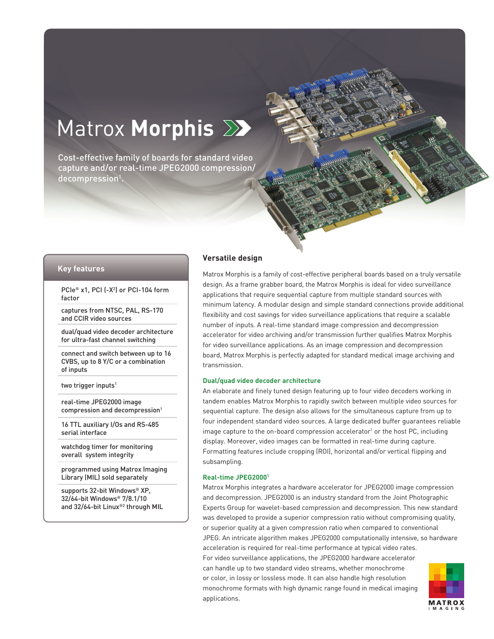# Matrox **Morphis**

Cost-effective family of boards for standard video capture and/or real-time JPEG2000 compression/  $decomposition<sup>1</sup>$ .

#### **Key features**

PCIe® x1, PCI (-X2 ) or PCI-104 form factor

captures from NTSC, PAL, RS-170 and CCIR video sources

dual/quad video decoder architecture for ultra-fast channel switching

connect and switch between up to 16 CVBS, up to 8 Y/C or a combination of inputs

two trigger inputs<sup>1</sup>

real-time JPEG2000 image compression and decompression<sup>1</sup>

16 TTL auxiliary I/Os and RS-485 serial interface

watchdog timer for monitoring overall system integrity

programmed using Matrox Imaging Library (MIL) sold separately

supports 32-bit Windows® XP, 32/64-bit Windows® 7/8.1/10 and 32/64-bit Linux®2 through MIL

# **Versatile design**

Matrox Morphis is a family of cost-effective peripheral boards based on a truly versatile design. As a frame grabber board, the Matrox Morphis is ideal for video surveillance applications that require sequential capture from multiple standard sources with minimum latency. A modular design and simple standard connections provide additional flexibility and cost savings for video surveillance applications that require a scalable number of inputs. A real-time standard image compression and decompression accelerator for video archiving and/or transmission further qualifies Matrox Morphis for video surveillance applications. As an image compression and decompression board, Matrox Morphis is perfectly adapted for standard medical image archiving and transmission.

#### **Dual/quad video decoder architecture**

An elaborate and finely tuned design featuring up to four video decoders working in tandem enables Matrox Morphis to rapidly switch between multiple video sources for sequential capture. The design also allows for the simultaneous capture from up to four independent standard video sources. A large dedicated buffer guarantees reliable image capture to the on-board compression accelerator<sup>1</sup> or the host PC, including display. Moreover, video images can be formatted in real-time during capture. Formatting features include cropping (ROI), horizontal and/or vertical flipping and subsampling.

#### **Real-time JPEG20001**

Matrox Morphis integrates a hardware accelerator for JPEG2000 image compression and decompression. JPEG2000 is an industry standard from the Joint Photographic Experts Group for wavelet-based compression and decompression. This new standard was developed to provide a superior compression ratio without compromising quality, or superior quality at a given compression ratio when compared to conventional JPEG. An intricate algorithm makes JPEG2000 computationally intensive, so hardware acceleration is required for real-time performance at typical video rates. For video surveillance applications, the JPEG2000 hardware accelerator can handle up to two standard video streams, whether monochrome or color, in lossy or lossless mode. It can also handle high resolution monochrome formats with high dynamic range found in medical imaging applications.

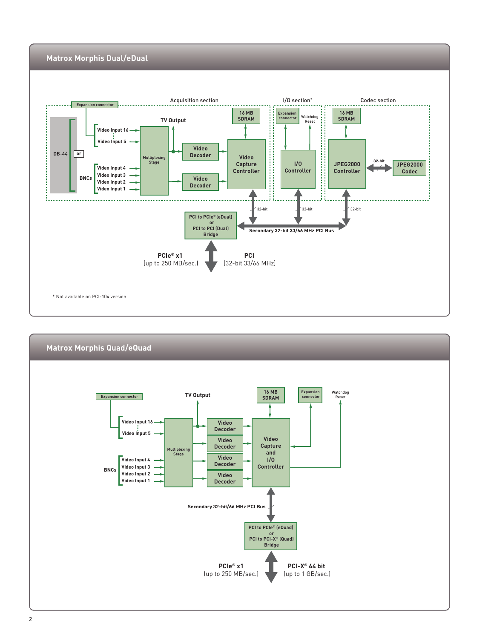

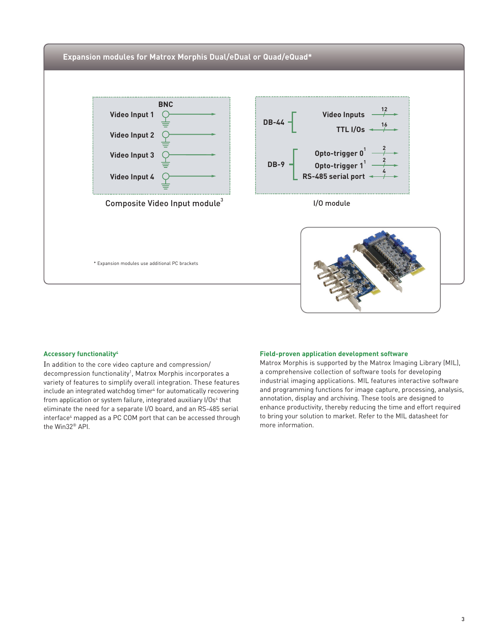

#### **Accessory functionality4**

In addition to the core video capture and compression/ decompression functionality<sup>1</sup>, Matrox Morphis incorporates a variety of features to simplify overall integration. These features include an integrated watchdog timer<sup>4</sup> for automatically recovering from application or system failure, integrated auxiliary I/Os<sup>4</sup> that eliminate the need for a separate I/O board, and an RS-485 serial interface<sup>4</sup> mapped as a PC COM port that can be accessed through the Win32® API.

#### **Field-proven application development software**

Matrox Morphis is supported by the Matrox Imaging Library (MIL), a comprehensive collection of software tools for developing industrial imaging applications. MIL features interactive software and programming functions for image capture, processing, analysis, annotation, display and archiving. These tools are designed to enhance productivity, thereby reducing the time and effort required to bring your solution to market. Refer to the MIL datasheet for more information.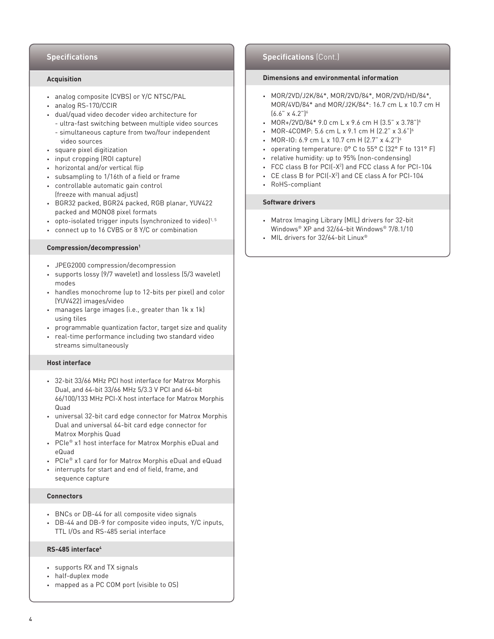#### **Acquisition**

- analog composite (CVBS) or Y/C NTSC/PAL
- analog RS-170/CCIR
- dual/quad video decoder video architecture for
	- ultra-fast switching between multiple video sources - simultaneous capture from two/four independent
- video sources
- square pixel digitization
- input cropping (ROI capture)
- horizontal and/or vertical flip
- subsampling to 1/16th of a field or frame
- controllable automatic gain control (freeze with manual adjust)
- BGR32 packed, BGR24 packed, RGB planar, YUV422 packed and MONO8 pixel formats
- opto-isolated trigger inputs (synchronized to video) $1,5$
- connect up to 16 CVBS or 8 Y/C or combination

#### **Compression/decompression1**

- JPEG2000 compression/decompression
- supports lossy (9/7 wavelet) and lossless (5/3 wavelet) modes
- handles monochrome (up to 12-bits per pixel) and color (YUV422) images/video
- manages large images (i.e., greater than 1k x 1k) using tiles
- programmable quantization factor, target size and quality
- real-time performance including two standard video streams simultaneously

#### **Host interface**

- 32-bit 33/66 MHz PCI host interface for Matrox Morphis Dual, and 64-bit 33/66 MHz 5/3.3 V PCI and 64-bit 66/100/133 MHz PCI-X host interface for Matrox Morphis Quad
- universal 32-bit card edge connector for Matrox Morphis Dual and universal 64-bit card edge connector for Matrox Morphis Quad
- PCIe® x1 host interface for Matrox Morphis eDual and eQuad
- PCIe® x1 card for for Matrox Morphis eDual and eQuad
- interrupts for start and end of field, frame, and sequence capture

#### **Connectors**

- BNCs or DB-44 for all composite video signals
- DB-44 and DB-9 for composite video inputs, Y/C inputs, TTL I/Os and RS-485 serial interface

#### **RS-485 interface4**

- supports RX and TX signals
- half-duplex mode
- mapped as a PC COM port (visible to OS)

# **Specifications Specifications** (Cont.)

# **Dimensions and environmental information**

- MOR/2VD/J2K/84\*, MOR/2VD/84\*, MOR/2VD/HD/84\*, MOR/4VD/84\* and MOR/J2K/84\*: 16.7 cm L x 10.7 cm H  $(6.6" \times 4.2")$ <sup>6</sup>
- MOR+/2VD/84\* 9.0 cm L x 9.6 cm H  $(3.5" \times 3.78")^{6}$
- MOR-4COMP: 5.6 cm L x 9.1 cm H  $(2.2" \times 3.6")^6$
- MOR-IO: 6.9 cm L x 10.7 cm H (2.7" x 4.2")<sup>6</sup>
- operating temperature: 0° C to 55° C (32° F to 131° F)
- relative humidity: up to 95% (non-condensing)
- FCC class B for PCI(-X2 ) and FCC class A for PCI-104
- CE class B for PCI(-X2 ) and CE class A for PCI-104
- RoHS-compliant

#### **Software drivers**

- Matrox Imaging Library (MIL) drivers for 32-bit Windows® XP and 32/64-bit Windows® 7/8.1/10
- MIL drivers for 32/64-bit Linux<sup>®</sup>